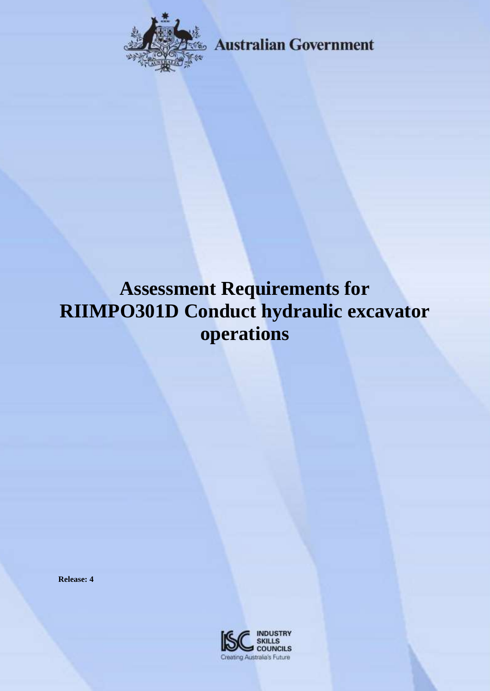

**Australian Government** 

# **Assessment Requirements for RIIMPO301D Conduct hydraulic excavator operations**

**Release: 4**

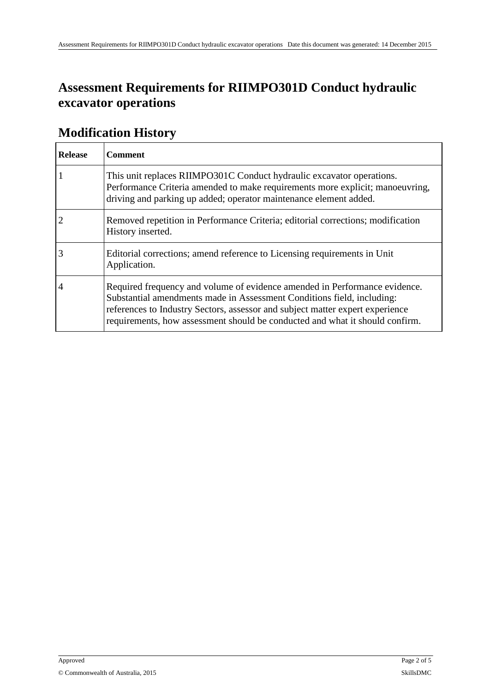### **Assessment Requirements for RIIMPO301D Conduct hydraulic excavator operations**

| <b>Release</b> | <b>Comment</b>                                                                                                                                                                                                                                                                                                        |
|----------------|-----------------------------------------------------------------------------------------------------------------------------------------------------------------------------------------------------------------------------------------------------------------------------------------------------------------------|
|                | This unit replaces RIIMPO301C Conduct hydraulic excavator operations.<br>Performance Criteria amended to make requirements more explicit; manoeuvring,<br>driving and parking up added; operator maintenance element added.                                                                                           |
|                | Removed repetition in Performance Criteria; editorial corrections; modification<br>History inserted.                                                                                                                                                                                                                  |
| 3              | Editorial corrections; amend reference to Licensing requirements in Unit<br>Application.                                                                                                                                                                                                                              |
| 4              | Required frequency and volume of evidence amended in Performance evidence.<br>Substantial amendments made in Assessment Conditions field, including:<br>references to Industry Sectors, assessor and subject matter expert experience<br>requirements, how assessment should be conducted and what it should confirm. |

#### **Modification History**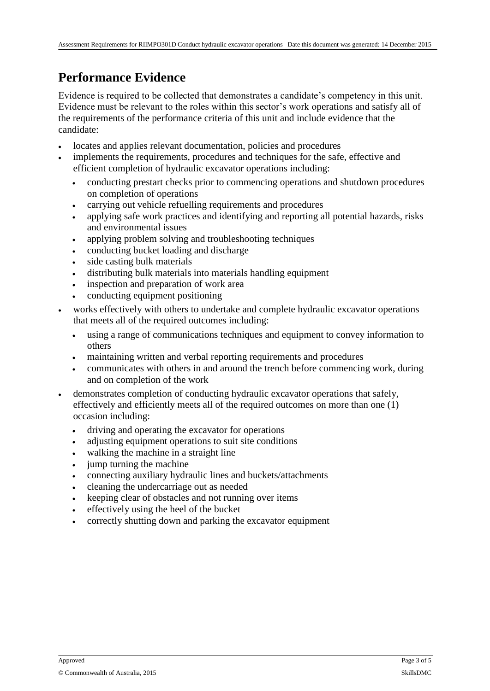#### **Performance Evidence**

Evidence is required to be collected that demonstrates a candidate's competency in this unit. Evidence must be relevant to the roles within this sector's work operations and satisfy all of the requirements of the performance criteria of this unit and include evidence that the candidate:

- locates and applies relevant documentation, policies and procedures
- implements the requirements, procedures and techniques for the safe, effective and efficient completion of hydraulic excavator operations including:
	- conducting prestart checks prior to commencing operations and shutdown procedures on completion of operations
	- carrying out vehicle refuelling requirements and procedures
	- applying safe work practices and identifying and reporting all potential hazards, risks and environmental issues
	- applying problem solving and troubleshooting techniques
	- conducting bucket loading and discharge
	- side casting bulk materials
	- distributing bulk materials into materials handling equipment
	- inspection and preparation of work area
	- conducting equipment positioning
- works effectively with others to undertake and complete hydraulic excavator operations that meets all of the required outcomes including:
	- using a range of communications techniques and equipment to convey information to others
	- maintaining written and verbal reporting requirements and procedures
	- communicates with others in and around the trench before commencing work, during and on completion of the work
- demonstrates completion of conducting hydraulic excavator operations that safely, effectively and efficiently meets all of the required outcomes on more than one (1) occasion including:
	- driving and operating the excavator for operations
	- adjusting equipment operations to suit site conditions
	- walking the machine in a straight line
	- jump turning the machine
	- connecting auxiliary hydraulic lines and buckets/attachments
	- cleaning the undercarriage out as needed
	- keeping clear of obstacles and not running over items
	- effectively using the heel of the bucket
	- correctly shutting down and parking the excavator equipment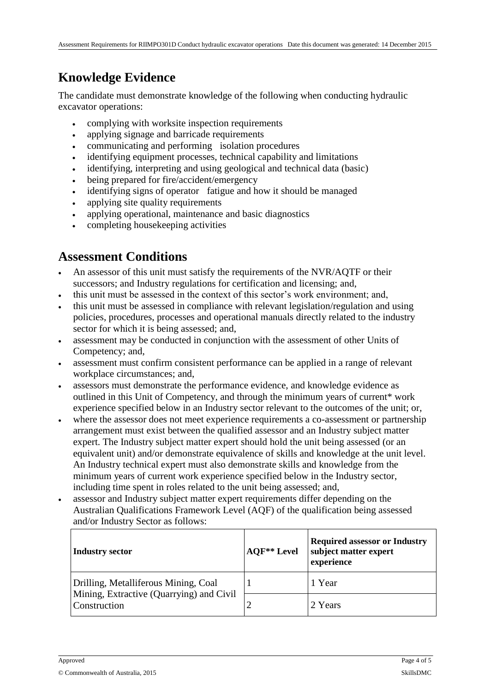### **Knowledge Evidence**

The candidate must demonstrate knowledge of the following when conducting hydraulic excavator operations:

- complying with worksite inspection requirements
- applying signage and barricade requirements
- communicating and performing isolation procedures
- identifying equipment processes, technical capability and limitations
- identifying, interpreting and using geological and technical data (basic)
- being prepared for fire/accident/emergency
- identifying signs of operator fatigue and how it should be managed
- applying site quality requirements
- applying operational, maintenance and basic diagnostics
- completing housekeeping activities

#### **Assessment Conditions**

- An assessor of this unit must satisfy the requirements of the NVR/AQTF or their successors; and Industry regulations for certification and licensing; and,
- this unit must be assessed in the context of this sector's work environment; and,
- this unit must be assessed in compliance with relevant legislation/regulation and using policies, procedures, processes and operational manuals directly related to the industry sector for which it is being assessed; and,
- assessment may be conducted in conjunction with the assessment of other Units of Competency; and,
- assessment must confirm consistent performance can be applied in a range of relevant workplace circumstances; and,
- assessors must demonstrate the performance evidence, and knowledge evidence as outlined in this Unit of Competency, and through the minimum years of current\* work experience specified below in an Industry sector relevant to the outcomes of the unit; or,
- where the assessor does not meet experience requirements a co-assessment or partnership arrangement must exist between the qualified assessor and an Industry subject matter expert. The Industry subject matter expert should hold the unit being assessed (or an equivalent unit) and/or demonstrate equivalence of skills and knowledge at the unit level. An Industry technical expert must also demonstrate skills and knowledge from the minimum years of current work experience specified below in the Industry sector, including time spent in roles related to the unit being assessed; and,
- assessor and Industry subject matter expert requirements differ depending on the Australian Qualifications Framework Level (AQF) of the qualification being assessed and/or Industry Sector as follows:

| <b>Industry sector</b>                                   | <b>AQF**</b> Level | <b>Required assessor or Industry</b><br>subject matter expert<br>experience |
|----------------------------------------------------------|--------------------|-----------------------------------------------------------------------------|
| Drilling, Metalliferous Mining, Coal                     |                    | 1 Year                                                                      |
| Mining, Extractive (Quarrying) and Civil<br>Construction | ∠                  | 2 Years                                                                     |